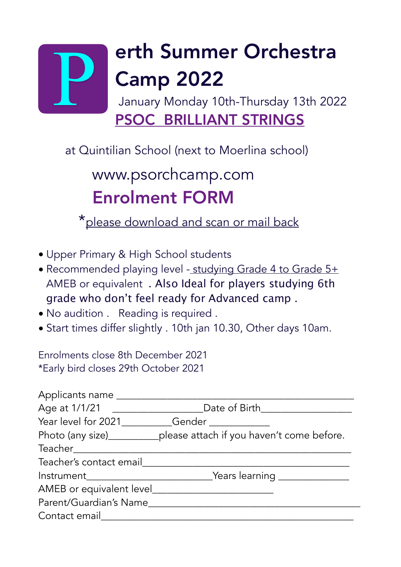# erth Summer Orchestra Camp 2022 January Monday 10th-Thursday 13th 2022

PSOC BRILLIANT STRINGS

at Quintilian School (next to Moerlina school)

## www.psorchcamp.com Enrolment FORM

\*please download and scan or mail back

- Upper Primary & High School students
- Recommended playing level studying Grade 4 to Grade 5+ AMEB or equivalent . Also Ideal for players studying 6th grade who don't feel ready for Advanced camp .
- No audition . Reading is required .
- Start times differ slightly . 10th jan 10.30, Other days 10am.

Enrolments close 8th December 2021 \*Early bird closes 29th October 2021

| Applicants name                                 |                                                                                  |
|-------------------------------------------------|----------------------------------------------------------------------------------|
|                                                 | Age at 1/1/21 __________________________Date of Birth___________________________ |
| Year level for 2021 _______Gender _____________ |                                                                                  |
|                                                 | Photo (any size)_____________please attach if you haven't come before.           |
| Teacher                                         |                                                                                  |
| Teacher's contact email                         |                                                                                  |
|                                                 | Mears learning <b>was a starting</b>                                             |
| AMEB or equivalent level_______                 |                                                                                  |
| Parent/Guardian's Name                          |                                                                                  |
| Contact email                                   |                                                                                  |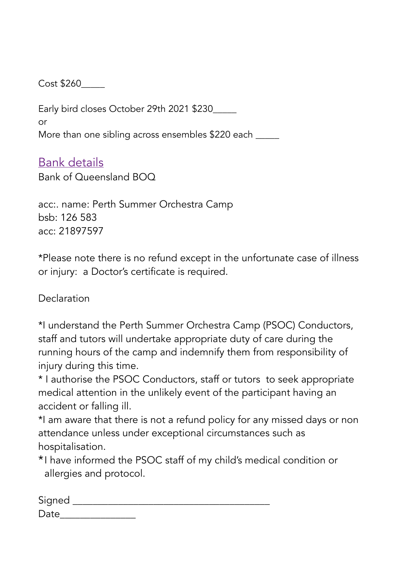Cost \$260\_\_\_\_\_

Early bird closes October 29th 2021 \$230\_\_\_\_\_ or More than one sibling across ensembles \$220 each \_\_\_\_\_

#### Bank details

Bank of Queensland BOQ

acc:. name: Perth Summer Orchestra Camp bsb: 126 583 acc: 21897597

\*Please note there is no refund except in the unfortunate case of illness or injury: a Doctor's certificate is required.

Declaration

\*I understand the Perth Summer Orchestra Camp (PSOC) Conductors, staff and tutors will undertake appropriate duty of care during the running hours of the camp and indemnify them from responsibility of injury during this time.

\* I authorise the PSOC Conductors, staff or tutors to seek appropriate medical attention in the unlikely event of the participant having an accident or falling ill.

\*I am aware that there is not a refund policy for any missed days or non attendance unless under exceptional circumstances such as hospitalisation.

\*I have informed the PSOC staff of my child's medical condition or allergies and protocol.

| Signed |  |  |
|--------|--|--|
| Date   |  |  |